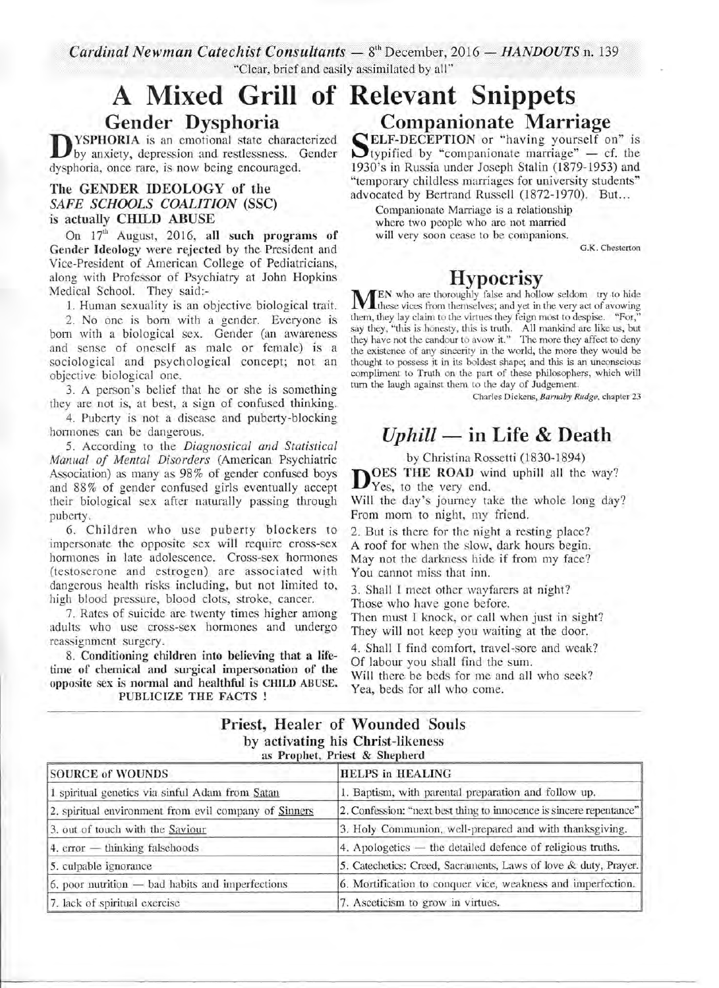Cardinal Newman Catechist Consultants - 8<sup>th</sup> December, 2016 - HANDOUTS n. 139 "Clear, brief and easily assimilated by all"

# **A Mixed Snippets Grill of Relevant**  Gender Dysphoria

**D DYSPHOKIA** is an emotional state characteristic by anxiety, depression and restlessness. (dysphoria, once rare, is now being encouraged. YSPHORIA is an emotional state characterized by anxiety, depression and restlessness. Gender

#### The GENDER IDEOLOGY of the *SAFE SCHOOLS COALITION* (SSC) is actually CHILD ABUSE

On  $17<sup>th</sup>$  August, 2016, all such programs of Gender Ideology were rejected by the President and Vice-President of American College of Pediatricians, along with Professor of Psychiatry at John Hopkins Medical School. They said:-

1. Human sexuality is an objective biological trait.

2. No one is born with a gender. Everyone is born with a biological sex. Gender (an awareness and sense of oneself as male or female) is a sociological and psychological concept; not an objective biological one.

3. A person's belief that he or she is something they are not is, at best, a sign of confused thinking.

4. Puberty is not a disease and puberty-blocking hormones can be dangerous.

5. According to the *Diagnostical and Statistical Manual of Mental Disorders* (American Psychiatric Association) as many as 98% of gender confused boys and 88 % of gender confused girls eventually accept their biological sex after naturally passing through puberty.

6. Children who use puberty blockers to impersonate the opposite sex will require cross-sex hormones in late adolescence. Cross-sex hormones (testoserone and estrogen) are associated with dangerous health risks including, but not limited to, high blood pressure, blood clots, stroke, cancer.

7. Rates of suicide are twenty times higher among adults who use cross-sex hormones and undergo reassignment surgery.

8. Conditioning children into believing that a lifetime of chemical and surgical impersonation of the opposite sex is normal and healthful is CHILD ABUSE. PUBLICIZE THE FACTS !

# Companionate Marriage ELF-DECEPTION or "having yourself on" is<br>typified by "companionate marriage" – cf. the

 $\sum_{103}$ 1930's in Russia under Joseph Stalin (1879-1953) and "temporary childless marriages for university students" advocated by Bertrand Russell (1872-1970). But...

Companionate Marriage is a relationship where two people who are not married will very soon cease to be companions.

G.K. Chesterton

## **Hypocrisy**

**MEN** who are thoroughly false and hollow seldom try to hide these vices from themselves; and yet in the very act of avowing them, they lay claim to the virtues they feion most to despise. "For." these vices from themselves; and yet in the very act of avowing them, they lay claim to the virtues they feign most to despise. "For," say they, "this is honesty, this is truth. All mankind are like us, but they have not the candour to avow it." The more they affect to deny the existence of any sincerity in the world, the more they would be thought to possess it in its boldest shape; and this is an unconscious compliment to Truth on the part of these philosophers, which will turn the laugh against them to the day of Judgement.

Charles Dickens, *Barnaby Rudge,* chapter 23

# *Uphill -* in Life & Death

by Christina Rossetti (1830-1894)

DVES THE ROAD WI OES THE ROAD wind uphill all the way?

Will the day's journey take the whole long day? From morn to night, my friend.

2. But is there for the night a resting place? A roof for when the slow, dark hours begin. May not the darkness hide if from my face? You cannot miss that inn.

3. Shall I meet other wayfarers at night? Those who have gone before.

Then must I knock, or call when just in sight? They will not keep you waiting at the door.

4. Shall I find comfort, travel-sore and weak? Of labour you shall find the sum.

Will there be beds for me and all who seek? Yea, beds for all who come.

#### Priest, Healer of Wounded Souls by activating his Christ-likeness as Prophet, Priest & Shepherd

| <b>SOURCE of WOUNDS</b>                               | <b>HELPS</b> in <b>HEALING</b>                                      |
|-------------------------------------------------------|---------------------------------------------------------------------|
| 1 spiritual genetics via sinful Adam from Satan       | 1. Baptism, with parental preparation and follow up.                |
| 2. spiritual environment from evil company of Sinners | 2. Confession: "next best thing to innocence is sincere repentance" |
| 3. out of touch with the Saviour                      | 3. Holy Communion, well-prepared and with thanksgiving.             |
| $4.$ error $-$ thinking falsehoods                    | 4. Apologetics $-$ the detailed defence of religious truths.        |
| 5. culpable ignorance                                 | 5. Catechetics: Creed, Sacraments, Laws of love & duty, Prayer.     |
| $6.$ poor nutrition $-$ bad habits and imperfections  | 6. Mortification to conquer vice, weakness and imperfection.        |
| 7. lack of spiritual exercise                         | 7. Asceticism to grow in virtues.                                   |